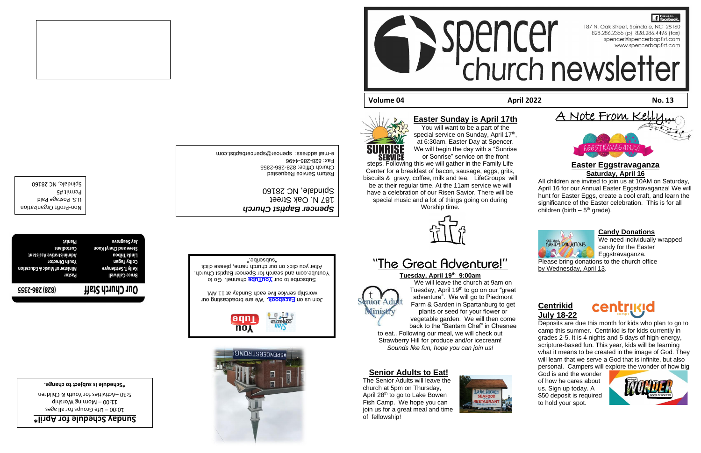### **Easter Sunday is April 17th**



**SERVICE** steps. Following this we will gather in the Family Life Center for a breakfast of bacon, sausage, eggs, grits, biscuits & gravy, coffee, milk and tea. LifeGroups will be at their regular time. At the 11am service we will have a celebration of our Risen Savior. There will be

special music and a lot of things going on during Worship time.



# "The Great Adventure!"

#### **Tuesday, April 19th 9:00am**

All children are invited to join us at 10AM on Saturday, April 16 for our Annual Easter Eggstravaganza! We will hunt for Easter Eggs, create a cool craft, and learn the significance of the Easter celebration. This is for all children (birth  $-5<sup>th</sup>$  grade).



We will leave the church at 9am on Tuesday, April 19<sup>th</sup> to go on our "great" adventure". We will go to Piedmont Farm & Garden in Spartanburg to get plants or seed for your flower or vegetable garden. We will then come back to the "Bantam Chef" in Chesnee

to eat.. Following our meal, we will check out

nior Ad Ministry





Strawberry Hill for produce and/or icecream! *Sounds like fun, hope you can join us!*

**Senior Adults to Eat!**

The Senior Adults will leave the church at 5pm on Thursday, April 28th to go to Lake Bowen Fish Camp. We hope you can join us for a great meal and time of fellowship!



# **WRDEMCEB2LBONCi**



Return Service Requested e-mail address: spencer@spencerbaptist.com

**Easter Eggstravaganza**

**Saturday, April 16**

Join us on **Facebook**. We are broadcasting our . worship service live eac[h Sunday at](https://www.facebook.com/SpencerBaptistChurch/) 11 AM

Subscribe to our **YouTube** channel. Go to Youtube.com and search for Spencer Baptist Church. After you click on our church name, please click

## **R** Find us on .<br>I I Ĩ, **Volume 04 April 2022 No. 13**

A Note From Kel



- 
- 

### **Candy Donations**

We need individually wrapped candy for the Easter Eggstravaganza.

Please bring donations to the church office by Wednesday, April 13.

## **Centrikid July 18-22**



Deposits are due this month for kids who plan to go to camp this summer. Centrikid is for kids currently in grades 2-5. It is 4 nights and 5 days of high-energy, scripture-based fun. This year, kids will be learning what it means to be created in the image of God. They will learn that we serve a God that is infinite, but also personal. Campers will explore the wonder of how big

God is and the wonder of how he cares about us. Sign up today. A \$50 deposit is required to hold your spot.



Profit Organization - Non

U.S. Postage Paid

Spindale, NC 28160

Permit #5

| :-987 (878)             | Our Church Staff           |
|-------------------------|----------------------------|
| rastor                  | Bruce Caldwell             |
| Minister of Music & Edu | <b>Kelly T. Settlemvre</b> |

# 5:30 - Activities for Youth & Children

*<u>\** lingA not elubedide vability</del></u>  $2.00 - 1$ ife Groups for all ages

 $q$ ididang Worship

*Spencer Baptist Church*

187 N. Oak Street







Spindale, NC 28160

**Schedule is subject to change. \***

# Church Office: 828-286-2355 Eax: 828-286-4496

"subscribe."

**SSET** 

| Jay Seagrave          | teinsiq                       |
|-----------------------|-------------------------------|
| Steve and Cheryl Koon | <b>Cusibotzu</b>              |
| Lindair Iribou        | tnsteieeA svitstteinimbA      |
| Colby Fagan           | <b>Youth Director</b>         |
| Settlemyre (          | Minister of Music & Education |
| Bruce Caldwell        | Pastor                        |
|                       |                               |



**13**No.13